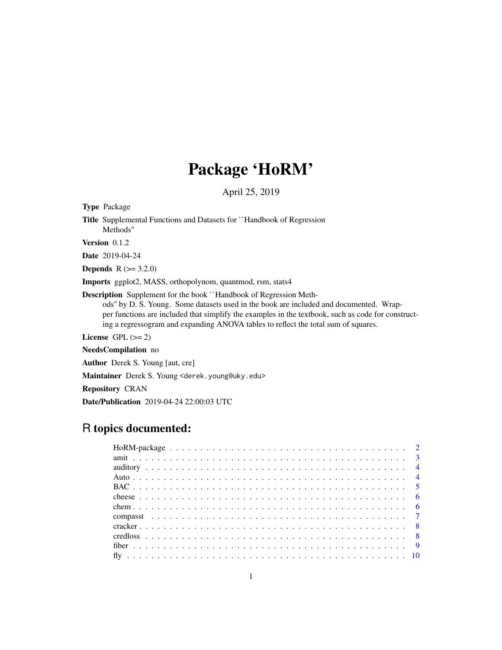# Package 'HoRM'

April 25, 2019

<span id="page-0-0"></span>Type Package

Title Supplemental Functions and Datasets for ``Handbook of Regression Methods''

Version 0.1.2

Date 2019-04-24

**Depends**  $R (= 3.2.0)$ 

Imports ggplot2, MASS, orthopolynom, quantmod, rsm, stats4

Description Supplement for the book ``Handbook of Regression Methods'' by D. S. Young. Some datasets used in the book are included and documented. Wrapper functions are included that simplify the examples in the textbook, such as code for constructing a regressogram and expanding ANOVA tables to reflect the total sum of squares.

License GPL  $(>= 2)$ 

NeedsCompilation no

Author Derek S. Young [aut, cre]

Maintainer Derek S. Young <derek.young@uky.edu>

Repository CRAN

Date/Publication 2019-04-24 22:00:03 UTC

# R topics documented: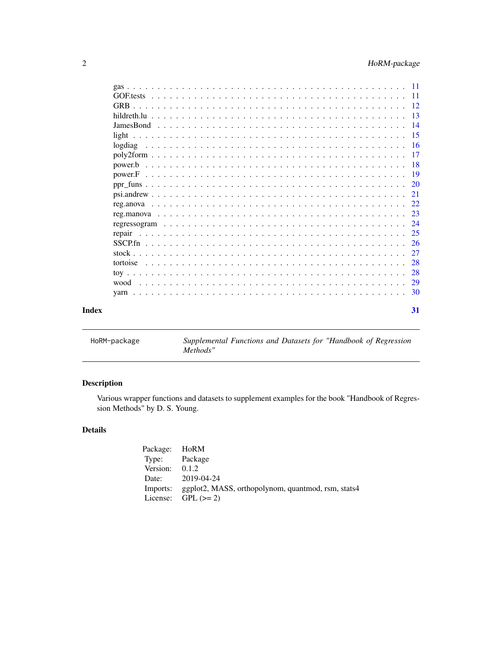<span id="page-1-0"></span>

|       | -23           |  |
|-------|---------------|--|
|       |               |  |
|       | -25<br>repair |  |
|       |               |  |
|       |               |  |
|       | 28            |  |
|       | 28            |  |
|       |               |  |
|       |               |  |
| Index | 31            |  |

| HoRM-package |
|--------------|
|--------------|

Supplemental Functions and Datasets for "Handbook of Regression *Methods"*

# Description

Various wrapper functions and datasets to supplement examples for the book "Handbook of Regression Methods" by D. S. Young.

# Details

| Package: HoRM    |                                                    |
|------------------|----------------------------------------------------|
| Type: Package    |                                                    |
| Version: $0.1.2$ |                                                    |
| Date:            | 2019-04-24                                         |
| Imports:         | ggplot2, MASS, orthopolynom, quantmod, rsm, stats4 |
|                  | License: $GPL (> = 2)$                             |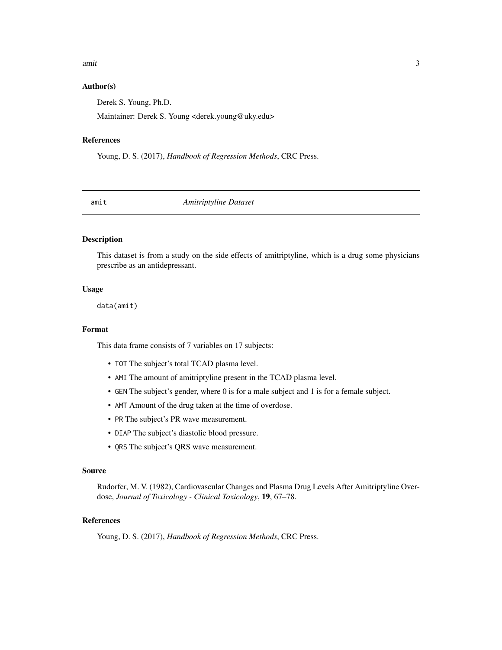#### <span id="page-2-0"></span>amit 3

#### Author(s)

Derek S. Young, Ph.D.

Maintainer: Derek S. Young <derek.young@uky.edu>

#### References

Young, D. S. (2017), *Handbook of Regression Methods*, CRC Press.

amit *Amitriptyline Dataset*

# Description

This dataset is from a study on the side effects of amitriptyline, which is a drug some physicians prescribe as an antidepressant.

# Usage

data(amit)

# Format

This data frame consists of 7 variables on 17 subjects:

- TOT The subject's total TCAD plasma level.
- AMI The amount of amitriptyline present in the TCAD plasma level.
- GEN The subject's gender, where 0 is for a male subject and 1 is for a female subject.
- AMT Amount of the drug taken at the time of overdose.
- PR The subject's PR wave measurement.
- DIAP The subject's diastolic blood pressure.
- QRS The subject's QRS wave measurement.

#### Source

Rudorfer, M. V. (1982), Cardiovascular Changes and Plasma Drug Levels After Amitriptyline Overdose, *Journal of Toxicology - Clinical Toxicology*, 19, 67–78.

# References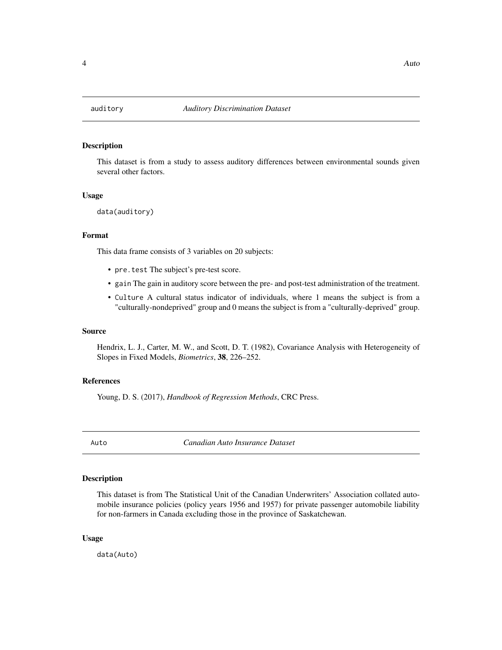<span id="page-3-0"></span>

This dataset is from a study to assess auditory differences between environmental sounds given several other factors.

#### Usage

```
data(auditory)
```
#### Format

This data frame consists of 3 variables on 20 subjects:

- pre.test The subject's pre-test score.
- gain The gain in auditory score between the pre- and post-test administration of the treatment.
- Culture A cultural status indicator of individuals, where 1 means the subject is from a "culturally-nondeprived" group and 0 means the subject is from a "culturally-deprived" group.

#### Source

Hendrix, L. J., Carter, M. W., and Scott, D. T. (1982), Covariance Analysis with Heterogeneity of Slopes in Fixed Models, *Biometrics*, 38, 226–252.

#### References

Young, D. S. (2017), *Handbook of Regression Methods*, CRC Press.

Auto *Canadian Auto Insurance Dataset*

#### Description

This dataset is from The Statistical Unit of the Canadian Underwriters' Association collated automobile insurance policies (policy years 1956 and 1957) for private passenger automobile liability for non-farmers in Canada excluding those in the province of Saskatchewan.

#### Usage

data(Auto)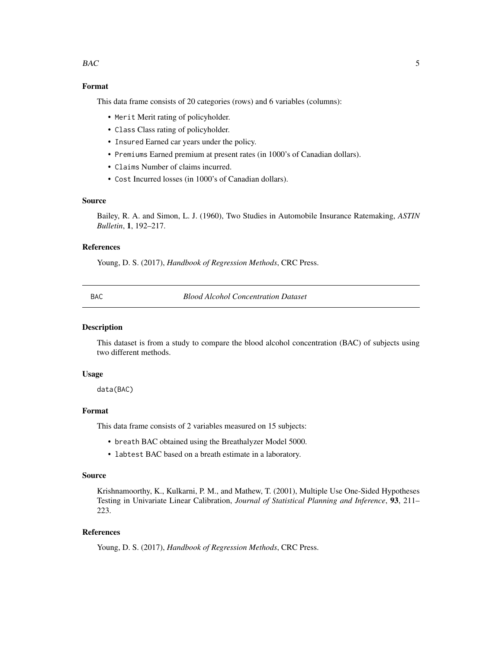#### <span id="page-4-0"></span> $BAC$  5

# Format

This data frame consists of 20 categories (rows) and 6 variables (columns):

- Merit Merit rating of policyholder.
- Class Class rating of policyholder.
- Insured Earned car years under the policy.
- Premiums Earned premium at present rates (in 1000's of Canadian dollars).
- Claims Number of claims incurred.
- Cost Incurred losses (in 1000's of Canadian dollars).

#### Source

Bailey, R. A. and Simon, L. J. (1960), Two Studies in Automobile Insurance Ratemaking, *ASTIN Bulletin*, 1, 192–217.

#### References

Young, D. S. (2017), *Handbook of Regression Methods*, CRC Press.

BAC *Blood Alcohol Concentration Dataset*

#### Description

This dataset is from a study to compare the blood alcohol concentration (BAC) of subjects using two different methods.

#### Usage

data(BAC)

#### Format

This data frame consists of 2 variables measured on 15 subjects:

- breath BAC obtained using the Breathalyzer Model 5000.
- labtest BAC based on a breath estimate in a laboratory.

#### Source

Krishnamoorthy, K., Kulkarni, P. M., and Mathew, T. (2001), Multiple Use One-Sided Hypotheses Testing in Univariate Linear Calibration, *Journal of Statistical Planning and Inference*, 93, 211– 223.

#### References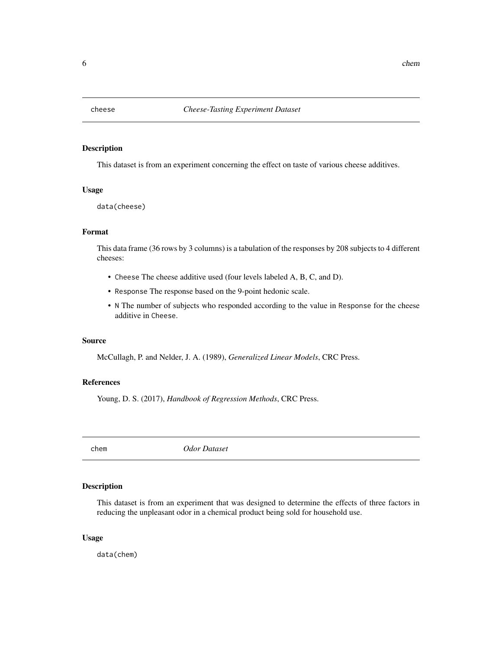<span id="page-5-0"></span>

This dataset is from an experiment concerning the effect on taste of various cheese additives.

#### Usage

data(cheese)

#### Format

This data frame (36 rows by 3 columns) is a tabulation of the responses by 208 subjects to 4 different cheeses:

- Cheese The cheese additive used (four levels labeled A, B, C, and D).
- Response The response based on the 9-point hedonic scale.
- N The number of subjects who responded according to the value in Response for the cheese additive in Cheese.

#### Source

McCullagh, P. and Nelder, J. A. (1989), *Generalized Linear Models*, CRC Press.

#### References

Young, D. S. (2017), *Handbook of Regression Methods*, CRC Press.

chem *Odor Dataset*

#### Description

This dataset is from an experiment that was designed to determine the effects of three factors in reducing the unpleasant odor in a chemical product being sold for household use.

#### Usage

data(chem)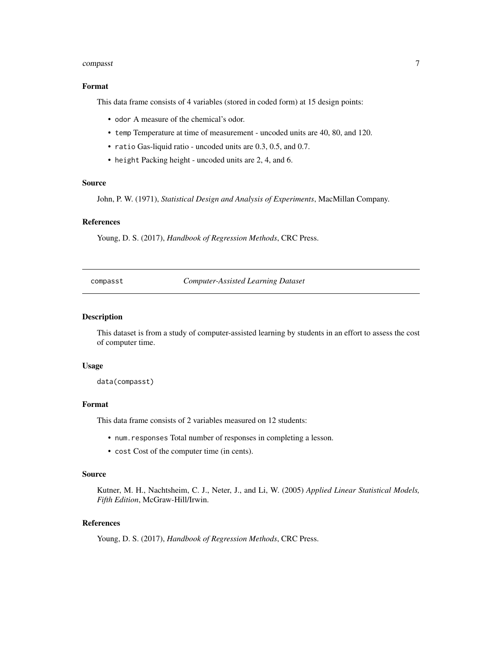#### <span id="page-6-0"></span>compasst 7 and 2012 12:30 and 2012 12:30 and 2012 12:30 and 2012 12:30 and 2012 12:30 and 2013 12:30 and 2013

# Format

This data frame consists of 4 variables (stored in coded form) at 15 design points:

- odor A measure of the chemical's odor.
- temp Temperature at time of measurement uncoded units are 40, 80, and 120.
- ratio Gas-liquid ratio uncoded units are 0.3, 0.5, and 0.7.
- height Packing height uncoded units are 2, 4, and 6.

#### Source

John, P. W. (1971), *Statistical Design and Analysis of Experiments*, MacMillan Company.

# References

Young, D. S. (2017), *Handbook of Regression Methods*, CRC Press.

compasst *Computer-Assisted Learning Dataset*

# Description

This dataset is from a study of computer-assisted learning by students in an effort to assess the cost of computer time.

#### Usage

data(compasst)

#### Format

This data frame consists of 2 variables measured on 12 students:

- num.responses Total number of responses in completing a lesson.
- cost Cost of the computer time (in cents).

#### Source

Kutner, M. H., Nachtsheim, C. J., Neter, J., and Li, W. (2005) *Applied Linear Statistical Models, Fifth Edition*, McGraw-Hill/Irwin.

# References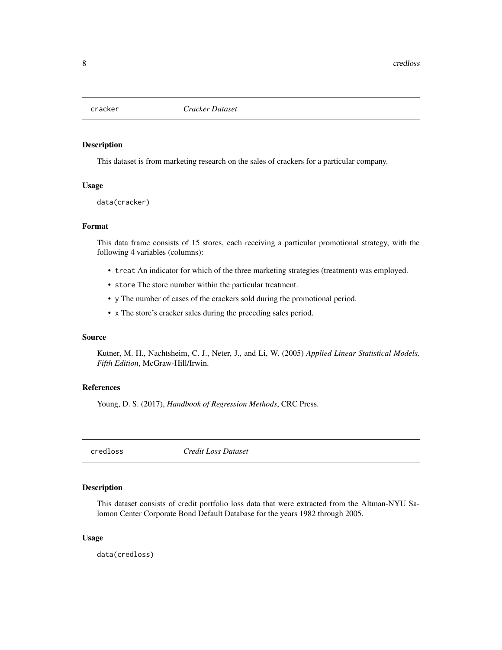<span id="page-7-0"></span>

This dataset is from marketing research on the sales of crackers for a particular company.

#### Usage

data(cracker)

# Format

This data frame consists of 15 stores, each receiving a particular promotional strategy, with the following 4 variables (columns):

- treat An indicator for which of the three marketing strategies (treatment) was employed.
- store The store number within the particular treatment.
- y The number of cases of the crackers sold during the promotional period.
- x The store's cracker sales during the preceding sales period.

#### Source

Kutner, M. H., Nachtsheim, C. J., Neter, J., and Li, W. (2005) *Applied Linear Statistical Models, Fifth Edition*, McGraw-Hill/Irwin.

# References

Young, D. S. (2017), *Handbook of Regression Methods*, CRC Press.

credloss *Credit Loss Dataset*

# Description

This dataset consists of credit portfolio loss data that were extracted from the Altman-NYU Salomon Center Corporate Bond Default Database for the years 1982 through 2005.

# Usage

data(credloss)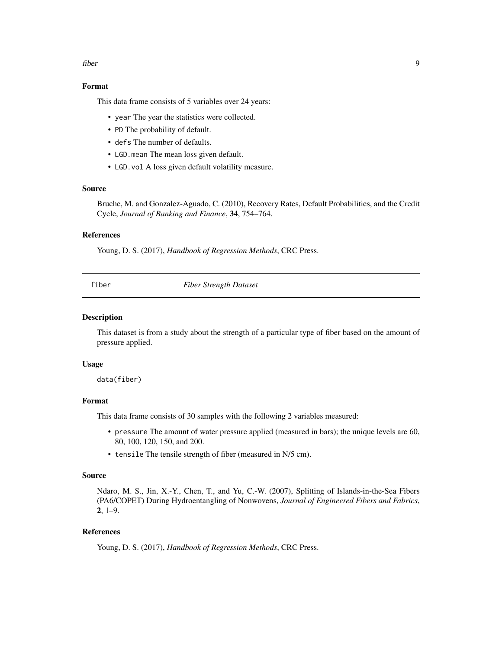#### <span id="page-8-0"></span>fiber 9

# Format

This data frame consists of 5 variables over 24 years:

- year The year the statistics were collected.
- PD The probability of default.
- defs The number of defaults.
- LGD.mean The mean loss given default.
- LGD.vol A loss given default volatility measure.

# Source

Bruche, M. and Gonzalez-Aguado, C. (2010), Recovery Rates, Default Probabilities, and the Credit Cycle, *Journal of Banking and Finance*, 34, 754–764.

# References

Young, D. S. (2017), *Handbook of Regression Methods*, CRC Press.

fiber *Fiber Strength Dataset*

# Description

This dataset is from a study about the strength of a particular type of fiber based on the amount of pressure applied.

#### Usage

data(fiber)

# Format

This data frame consists of 30 samples with the following 2 variables measured:

- pressure The amount of water pressure applied (measured in bars); the unique levels are 60, 80, 100, 120, 150, and 200.
- tensile The tensile strength of fiber (measured in N/5 cm).

#### Source

Ndaro, M. S., Jin, X.-Y., Chen, T., and Yu, C.-W. (2007), Splitting of Islands-in-the-Sea Fibers (PA6/COPET) During Hydroentangling of Nonwovens, *Journal of Engineered Fibers and Fabrics*, 2, 1–9.

# References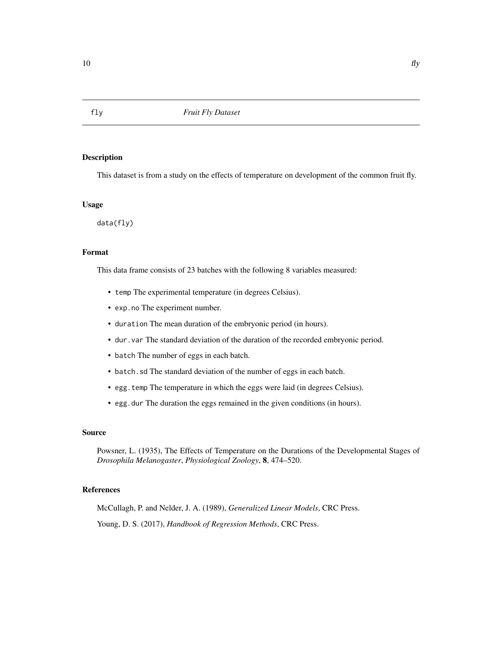This dataset is from a study on the effects of temperature on development of the common fruit fly.

#### Usage

data(fly)

# Format

This data frame consists of 23 batches with the following 8 variables measured:

- temp The experimental temperature (in degrees Celsius).
- exp.no The experiment number.
- duration The mean duration of the embryonic period (in hours).
- dur.var The standard deviation of the duration of the recorded embryonic period.
- batch The number of eggs in each batch.
- batch.sd The standard deviation of the number of eggs in each batch.
- egg.temp The temperature in which the eggs were laid (in degrees Celsius).
- egg.dur The duration the eggs remained in the given conditions (in hours).

# Source

Powsner, L. (1935), The Effects of Temperature on the Durations of the Developmental Stages of *Drosophila Melanogaster*, *Physiological Zoology*, 8, 474–520.

#### References

McCullagh, P. and Nelder, J. A. (1989), *Generalized Linear Models*, CRC Press. Young, D. S. (2017), *Handbook of Regression Methods*, CRC Press.

<span id="page-9-0"></span>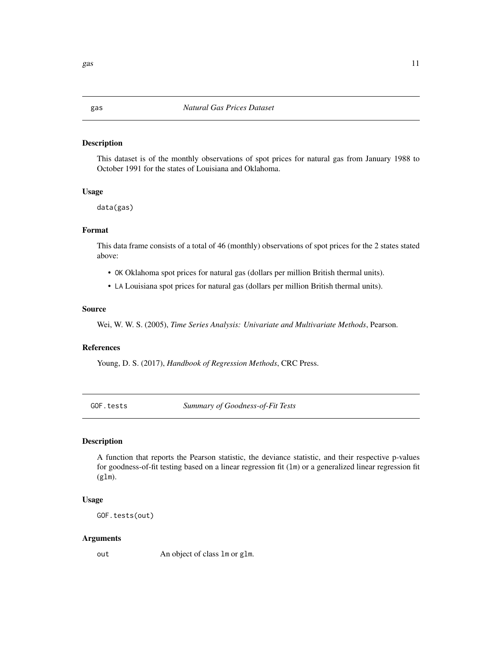This dataset is of the monthly observations of spot prices for natural gas from January 1988 to October 1991 for the states of Louisiana and Oklahoma.

#### Usage

data(gas)

# Format

This data frame consists of a total of 46 (monthly) observations of spot prices for the 2 states stated above:

- OK Oklahoma spot prices for natural gas (dollars per million British thermal units).
- LA Louisiana spot prices for natural gas (dollars per million British thermal units).

#### Source

Wei, W. W. S. (2005), *Time Series Analysis: Univariate and Multivariate Methods*, Pearson.

# References

Young, D. S. (2017), *Handbook of Regression Methods*, CRC Press.

GOF.tests *Summary of Goodness-of-Fit Tests*

# Description

A function that reports the Pearson statistic, the deviance statistic, and their respective p-values for goodness-of-fit testing based on a linear regression fit (lm) or a generalized linear regression fit  $(glm)$ .

#### Usage

GOF.tests(out)

#### Arguments

out An object of class lm or glm.

<span id="page-10-0"></span> $gas$  11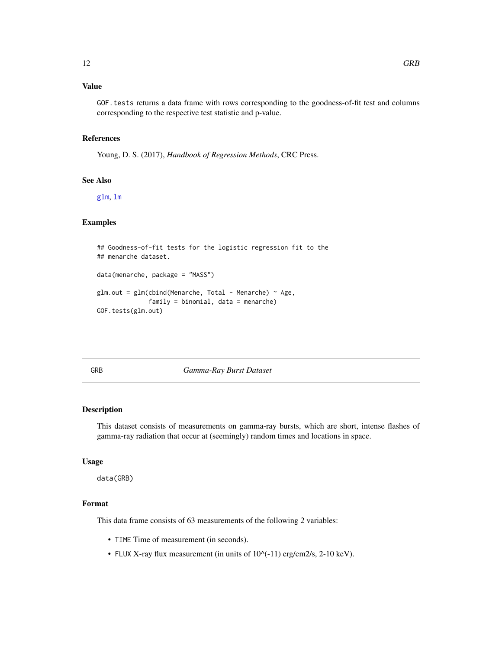# <span id="page-11-0"></span>Value

GOF.tests returns a data frame with rows corresponding to the goodness-of-fit test and columns corresponding to the respective test statistic and p-value.

#### References

Young, D. S. (2017), *Handbook of Regression Methods*, CRC Press.

# See Also

[glm](#page-0-0), [lm](#page-0-0)

# Examples

## Goodness-of-fit tests for the logistic regression fit to the ## menarche dataset. data(menarche, package = "MASS")  $glm.out = glm(clind(Menarche, Total - Menarche) ~ Age,$ family = binomial, data = menarche) GOF.tests(glm.out)

GRB *Gamma-Ray Burst Dataset*

#### Description

This dataset consists of measurements on gamma-ray bursts, which are short, intense flashes of gamma-ray radiation that occur at (seemingly) random times and locations in space.

#### Usage

data(GRB)

# Format

This data frame consists of 63 measurements of the following 2 variables:

- TIME Time of measurement (in seconds).
- FLUX X-ray flux measurement (in units of  $10^{\circ}$ (-11) erg/cm2/s, 2-10 keV).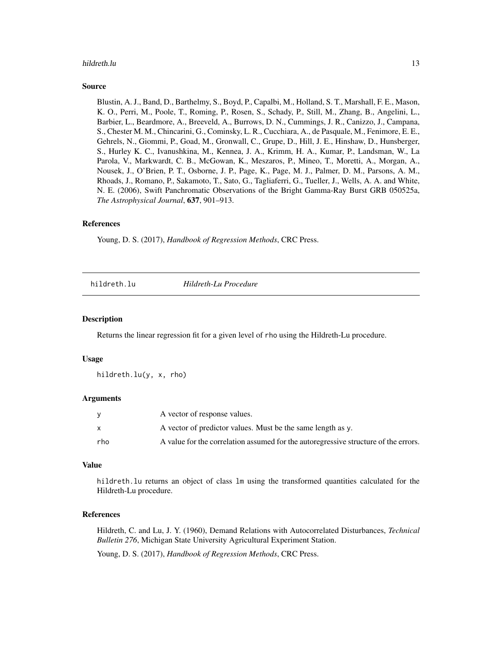#### <span id="page-12-0"></span>hildreth.lu **13**

#### Source

Blustin, A. J., Band, D., Barthelmy, S., Boyd, P., Capalbi, M., Holland, S. T., Marshall, F. E., Mason, K. O., Perri, M., Poole, T., Roming, P., Rosen, S., Schady, P., Still, M., Zhang, B., Angelini, L., Barbier, L., Beardmore, A., Breeveld, A., Burrows, D. N., Cummings, J. R., Canizzo, J., Campana, S., Chester M. M., Chincarini, G., Cominsky, L. R., Cucchiara, A., de Pasquale, M., Fenimore, E. E., Gehrels, N., Giommi, P., Goad, M., Gronwall, C., Grupe, D., Hill, J. E., Hinshaw, D., Hunsberger, S., Hurley K. C., Ivanushkina, M., Kennea, J. A., Krimm, H. A., Kumar, P., Landsman, W., La Parola, V., Markwardt, C. B., McGowan, K., Meszaros, P., Mineo, T., Moretti, A., Morgan, A., Nousek, J., O'Brien, P. T., Osborne, J. P., Page, K., Page, M. J., Palmer, D. M., Parsons, A. M., Rhoads, J., Romano, P., Sakamoto, T., Sato, G., Tagliaferri, G., Tueller, J., Wells, A. A. and White, N. E. (2006), Swift Panchromatic Observations of the Bright Gamma-Ray Burst GRB 050525a, *The Astrophysical Journal*, 637, 901–913.

#### References

Young, D. S. (2017), *Handbook of Regression Methods*, CRC Press.

hildreth.lu *Hildreth-Lu Procedure*

#### **Description**

Returns the linear regression fit for a given level of rho using the Hildreth-Lu procedure.

#### Usage

hildreth.lu(y, x, rho)

#### Arguments

|     | A vector of response values.                                                        |
|-----|-------------------------------------------------------------------------------------|
| X   | A vector of predictor values. Must be the same length as y.                         |
| rho | A value for the correlation assumed for the autoregressive structure of the errors. |

#### Value

hildreth. Lu returns an object of class 1m using the transformed quantities calculated for the Hildreth-Lu procedure.

# References

Hildreth, C. and Lu, J. Y. (1960), Demand Relations with Autocorrelated Disturbances, *Technical Bulletin 276*, Michigan State University Agricultural Experiment Station.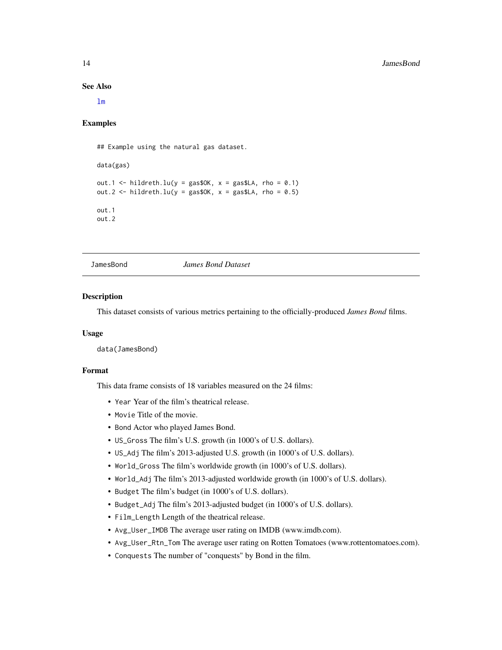<span id="page-13-0"></span>See Also

[lm](#page-0-0)

#### Examples

## Example using the natural gas dataset.

```
data(gas)
out.1 <- hildreth.lu(y = gas$OK, x = gas$LA, rho = 0.1)
out.2 <- hildreth.lu(y = gas$OK, x = gas$LA, rho = 0.5)
out.1
out.2
```
JamesBond *James Bond Dataset*

#### Description

This dataset consists of various metrics pertaining to the officially-produced *James Bond* films.

#### Usage

data(JamesBond)

# Format

This data frame consists of 18 variables measured on the 24 films:

- Year Year of the film's theatrical release.
- Movie Title of the movie.
- Bond Actor who played James Bond.
- US\_Gross The film's U.S. growth (in 1000's of U.S. dollars).
- US\_Adj The film's 2013-adjusted U.S. growth (in 1000's of U.S. dollars).
- World\_Gross The film's worldwide growth (in 1000's of U.S. dollars).
- World\_Adj The film's 2013-adjusted worldwide growth (in 1000's of U.S. dollars).
- Budget The film's budget (in 1000's of U.S. dollars).
- Budget\_Adj The film's 2013-adjusted budget (in 1000's of U.S. dollars).
- Film\_Length Length of the theatrical release.
- Avg\_User\_IMDB The average user rating on IMDB (www.imdb.com).
- Avg\_User\_Rtn\_Tom The average user rating on Rotten Tomatoes (www.rottentomatoes.com).
- Conquests The number of "conquests" by Bond in the film.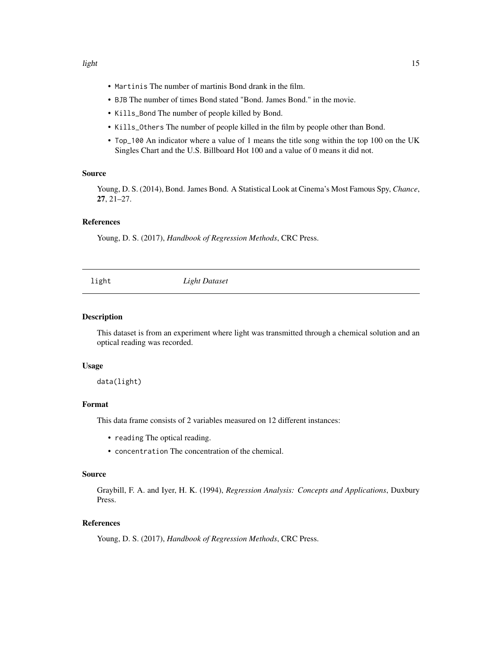- <span id="page-14-0"></span>• Martinis The number of martinis Bond drank in the film.
- BJB The number of times Bond stated "Bond. James Bond." in the movie.
- Kills\_Bond The number of people killed by Bond.
- Kills\_Others The number of people killed in the film by people other than Bond.
- Top\_100 An indicator where a value of 1 means the title song within the top 100 on the UK Singles Chart and the U.S. Billboard Hot 100 and a value of 0 means it did not.

#### Source

Young, D. S. (2014), Bond. James Bond. A Statistical Look at Cinema's Most Famous Spy, *Chance*, 27, 21–27.

# References

Young, D. S. (2017), *Handbook of Regression Methods*, CRC Press.

light *Light Dataset*

# Description

This dataset is from an experiment where light was transmitted through a chemical solution and an optical reading was recorded.

#### Usage

data(light)

#### Format

This data frame consists of 2 variables measured on 12 different instances:

- reading The optical reading.
- concentration The concentration of the chemical.

#### Source

Graybill, F. A. and Iyer, H. K. (1994), *Regression Analysis: Concepts and Applications*, Duxbury Press.

# References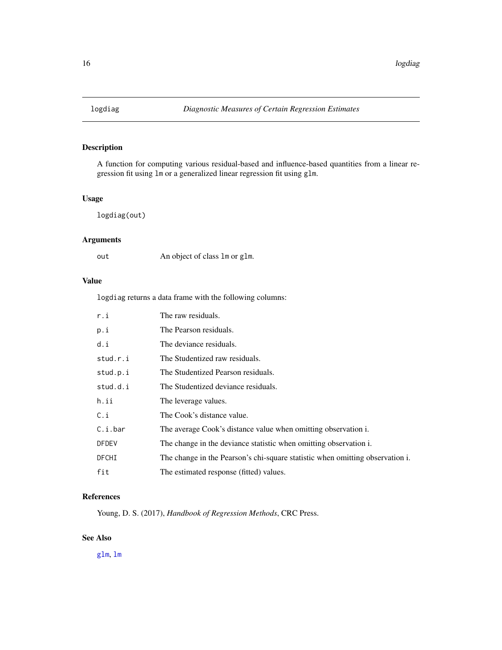<span id="page-15-0"></span>

A function for computing various residual-based and influence-based quantities from a linear regression fit using lm or a generalized linear regression fit using glm.

# Usage

logdiag(out)

# Arguments

out An object of class lm or glm.

# Value

logdiag returns a data frame with the following columns:

| r.i          | The raw residuals.                                                            |
|--------------|-------------------------------------------------------------------------------|
| p.i          | The Pearson residuals.                                                        |
| d.i          | The deviance residuals.                                                       |
| stud.r.i     | The Studentized raw residuals.                                                |
| stud.p.i     | The Studentized Pearson residuals.                                            |
| stud.d.i     | The Studentized deviance residuals.                                           |
| h.ii         | The leverage values.                                                          |
| C.i          | The Cook's distance value.                                                    |
| C.i.bar      | The average Cook's distance value when omitting observation i.                |
| <b>DFDEV</b> | The change in the deviance statistic when omitting observation i.             |
| DFCHI        | The change in the Pearson's chi-square statistic when omitting observation i. |
| fit          | The estimated response (fitted) values.                                       |

# References

Young, D. S. (2017), *Handbook of Regression Methods*, CRC Press.

# See Also

[glm](#page-0-0), [lm](#page-0-0)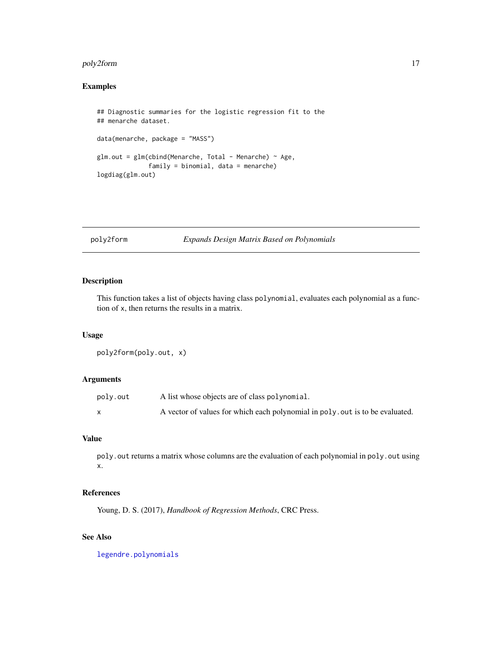# <span id="page-16-0"></span>poly2form 17

# Examples

```
## Diagnostic summaries for the logistic regression fit to the
## menarche dataset.
data(menarche, package = "MASS")
glm.out = glm(cbind(Menarche, Total - Menarche) ~ Age,
              family = binomial, data = menarche)
logdiag(glm.out)
```
# poly2form *Expands Design Matrix Based on Polynomials*

# Description

This function takes a list of objects having class polynomial, evaluates each polynomial as a function of x, then returns the results in a matrix.

## Usage

poly2form(poly.out, x)

# Arguments

| poly.out | A list whose objects are of class polynomial.                                |
|----------|------------------------------------------------------------------------------|
|          | A vector of values for which each polynomial in poly out is to be evaluated. |

# Value

poly.out returns a matrix whose columns are the evaluation of each polynomial in poly.out using x.

# References

Young, D. S. (2017), *Handbook of Regression Methods*, CRC Press.

# See Also

[legendre.polynomials](#page-0-0)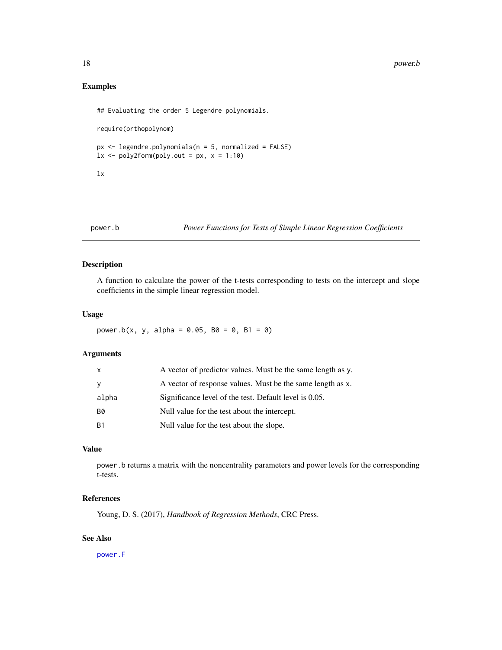#### <span id="page-17-0"></span>18 power.b

# Examples

## Evaluating the order 5 Legendre polynomials.

require(orthopolynom)

 $px \leq 1$ egendre.polynomials(n = 5, normalized = FALSE)  $lx \leftarrow poly2form(poly.out = px, x = 1:10)$ 

lx

# power.b *Power Functions for Tests of Simple Linear Regression Coefficients*

# Description

A function to calculate the power of the t-tests corresponding to tests on the intercept and slope coefficients in the simple linear regression model.

#### Usage

power.b(x, y, alpha =  $0.05$ , B0 =  $0$ , B1 = 0)

# Arguments

| $\mathsf{x}$ | A vector of predictor values. Must be the same length as y. |
|--------------|-------------------------------------------------------------|
| <b>V</b>     | A vector of response values. Must be the same length as x.  |
| alpha        | Significance level of the test. Default level is 0.05.      |
| <b>B0</b>    | Null value for the test about the intercept.                |
| -B1          | Null value for the test about the slope.                    |

# Value

power.b returns a matrix with the noncentrality parameters and power levels for the corresponding t-tests.

#### References

Young, D. S. (2017), *Handbook of Regression Methods*, CRC Press.

# See Also

[power.F](#page-18-1)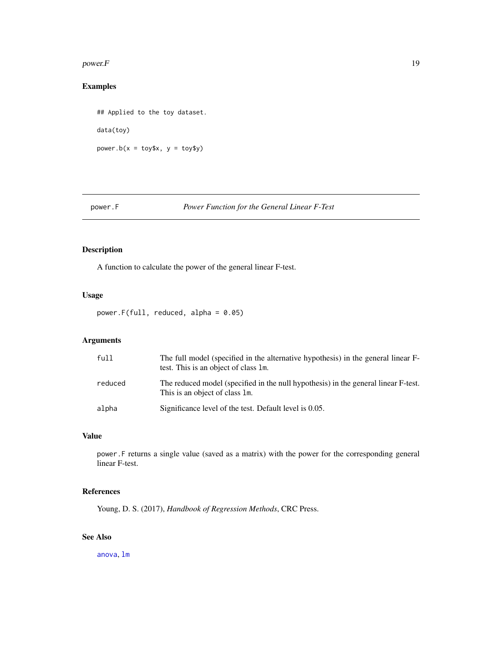#### <span id="page-18-0"></span> $power.F$  19

# Examples

## Applied to the toy dataset. data(toy) power.b( $x = toy$ \$x,  $y = toy$ \$y)

# <span id="page-18-1"></span>power.F *Power Function for the General Linear F-Test*

# Description

A function to calculate the power of the general linear F-test.

# Usage

power.F(full, reduced, alpha =  $0.05$ )

# Arguments

| full    | The full model (specified in the alternative hypothesis) in the general linear F-<br>test. This is an object of class 1m. |
|---------|---------------------------------------------------------------------------------------------------------------------------|
| reduced | The reduced model (specified in the null hypothesis) in the general linear F-test.<br>This is an object of class 1m.      |
| alpha   | Significance level of the test. Default level is 0.05.                                                                    |

# Value

power.F returns a single value (saved as a matrix) with the power for the corresponding general linear F-test.

# References

Young, D. S. (2017), *Handbook of Regression Methods*, CRC Press.

# See Also

[anova](#page-0-0), [lm](#page-0-0)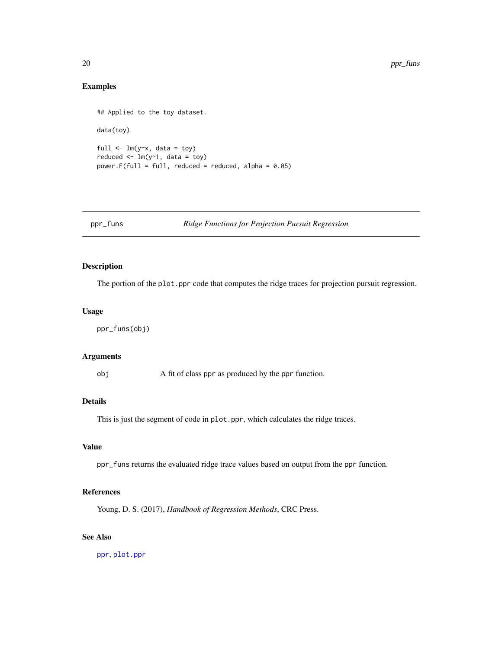# Examples

```
## Applied to the toy dataset.
data(toy)
full \leftarrow lm(y~x, data = toy)
reduced \leq lm(y\sim1, data = toy)
power.F(full = full, reduced = reduced, alpha = 0.05)
```
# ppr\_funs *Ridge Functions for Projection Pursuit Regression*

# Description

The portion of the plot.ppr code that computes the ridge traces for projection pursuit regression.

# Usage

ppr\_funs(obj)

# Arguments

obj A fit of class ppr as produced by the ppr function.

# Details

This is just the segment of code in plot.ppr, which calculates the ridge traces.

# Value

ppr\_funs returns the evaluated ridge trace values based on output from the ppr function.

# References

Young, D. S. (2017), *Handbook of Regression Methods*, CRC Press.

# See Also

[ppr](#page-0-0), [plot.ppr](#page-0-0)

<span id="page-19-0"></span>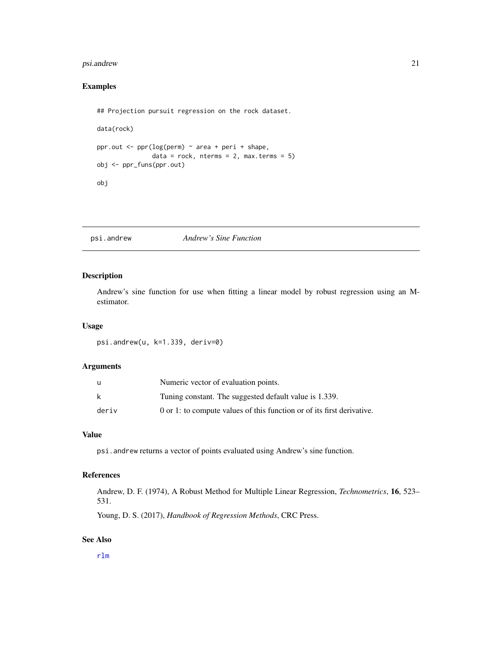# <span id="page-20-0"></span>psi.andrew 21

# Examples

```
## Projection pursuit regression on the rock dataset.
data(rock)
ppr.out \leq ppr(log(perm) \sim area + peri + shape,
               data = rock, nterms = 2, max.terms = 5)obj <- ppr_funs(ppr.out)
obj
```
psi.andrew *Andrew's Sine Function*

# Description

Andrew's sine function for use when fitting a linear model by robust regression using an Mestimator.

## Usage

psi.andrew(u, k=1.339, deriv=0)

# Arguments

|       | Numeric vector of evaluation points.                                   |
|-------|------------------------------------------------------------------------|
| k     | Tuning constant. The suggested default value is 1.339.                 |
| deriv | 0 or 1: to compute values of this function or of its first derivative. |

# Value

psi.andrew returns a vector of points evaluated using Andrew's sine function.

#### References

Andrew, D. F. (1974), A Robust Method for Multiple Linear Regression, *Technometrics*, 16, 523– 531.

Young, D. S. (2017), *Handbook of Regression Methods*, CRC Press.

# See Also

[rlm](#page-0-0)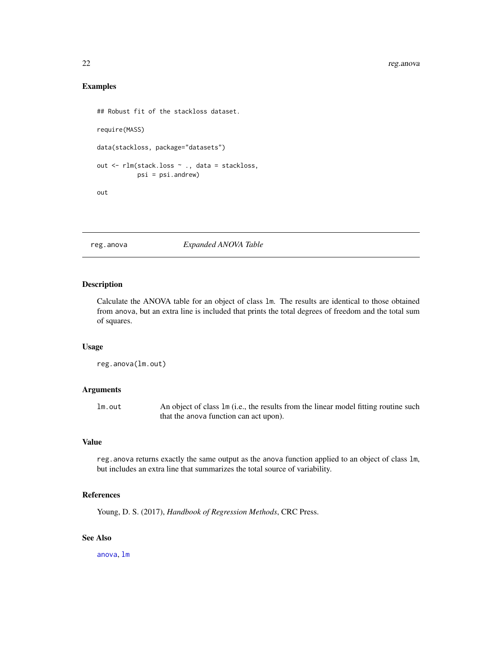# Examples

```
## Robust fit of the stackloss dataset.
require(MASS)
data(stackloss, package="datasets")
out <- rlm(stack.loss ~ ., data = stackloss,
           psi = psi.andrew)
out
```
<span id="page-21-1"></span>reg.anova *Expanded ANOVA Table*

# Description

Calculate the ANOVA table for an object of class lm. The results are identical to those obtained from anova, but an extra line is included that prints the total degrees of freedom and the total sum of squares.

# Usage

```
reg.anova(lm.out)
```
#### Arguments

lm.out An object of class lm (i.e., the results from the linear model fitting routine such that the anova function can act upon).

# Value

reg.anova returns exactly the same output as the anova function applied to an object of class lm, but includes an extra line that summarizes the total source of variability.

# References

Young, D. S. (2017), *Handbook of Regression Methods*, CRC Press.

# See Also

[anova](#page-0-0), [lm](#page-0-0)

<span id="page-21-0"></span>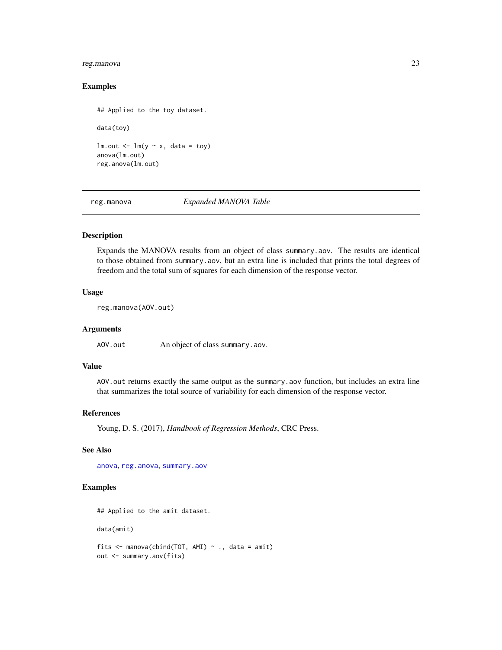# <span id="page-22-0"></span>reg.manova 23

#### Examples

## Applied to the toy dataset.

data(toy)

 $lm.out < - lm(y \sim x, data = toy)$ anova(lm.out) reg.anova(lm.out)

<span id="page-22-1"></span>reg.manova *Expanded MANOVA Table*

#### Description

Expands the MANOVA results from an object of class summary.aov. The results are identical to those obtained from summary.aov, but an extra line is included that prints the total degrees of freedom and the total sum of squares for each dimension of the response vector.

#### Usage

reg.manova(AOV.out)

# Arguments

AOV.out An object of class summary.aov.

# Value

AOV.out returns exactly the same output as the summary.aov function, but includes an extra line that summarizes the total source of variability for each dimension of the response vector.

#### References

Young, D. S. (2017), *Handbook of Regression Methods*, CRC Press.

#### See Also

[anova](#page-0-0), [reg.anova](#page-21-1), [summary.aov](#page-0-0)

## Examples

```
## Applied to the amit dataset.
data(amit)
fits \leq manova(cbind(TOT, AMI) \sim ., data = amit)
out <- summary.aov(fits)
```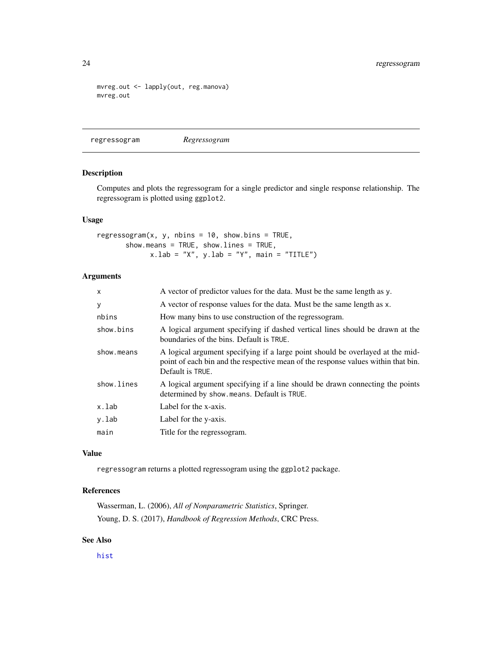```
mvreg.out <- lapply(out, reg.manova)
mvreg.out
```
regressogram *Regressogram*

## Description

Computes and plots the regressogram for a single predictor and single response relationship. The regressogram is plotted using ggplot2.

#### Usage

regressogram $(x, y, \text{nbins} = 10, \text{ show bins} = \text{TRUE},$ show.means = TRUE, show.lines = TRUE,  $x.$ lab = "X",  $y.$ lab = "Y", main = "TITLE")

# Arguments

| A vector of response values for the data. Must be the same length as x.<br>У<br>nbins<br>How many bins to use construction of the regressogram.<br>show.bins<br>boundaries of the bins. Default is TRUE.<br>show.means<br>Default is TRUE.<br>show.lines<br>determined by show means. Default is TRUE.<br>x.lab<br>Label for the x-axis.<br>y.lab<br>Label for the y-axis.<br>main<br>Title for the regressogram. | $\mathsf{x}$ | A vector of predictor values for the data. Must be the same length as y.                                                                                            |
|-------------------------------------------------------------------------------------------------------------------------------------------------------------------------------------------------------------------------------------------------------------------------------------------------------------------------------------------------------------------------------------------------------------------|--------------|---------------------------------------------------------------------------------------------------------------------------------------------------------------------|
|                                                                                                                                                                                                                                                                                                                                                                                                                   |              |                                                                                                                                                                     |
|                                                                                                                                                                                                                                                                                                                                                                                                                   |              |                                                                                                                                                                     |
|                                                                                                                                                                                                                                                                                                                                                                                                                   |              | A logical argument specifying if dashed vertical lines should be drawn at the                                                                                       |
|                                                                                                                                                                                                                                                                                                                                                                                                                   |              | A logical argument specifying if a large point should be overlayed at the mid-<br>point of each bin and the respective mean of the response values within that bin. |
|                                                                                                                                                                                                                                                                                                                                                                                                                   |              | A logical argument specifying if a line should be drawn connecting the points                                                                                       |
|                                                                                                                                                                                                                                                                                                                                                                                                                   |              |                                                                                                                                                                     |
|                                                                                                                                                                                                                                                                                                                                                                                                                   |              |                                                                                                                                                                     |
|                                                                                                                                                                                                                                                                                                                                                                                                                   |              |                                                                                                                                                                     |

# Value

regressogram returns a plotted regressogram using the ggplot2 package.

# References

Wasserman, L. (2006), *All of Nonparametric Statistics*, Springer. Young, D. S. (2017), *Handbook of Regression Methods*, CRC Press.

# See Also

[hist](#page-0-0)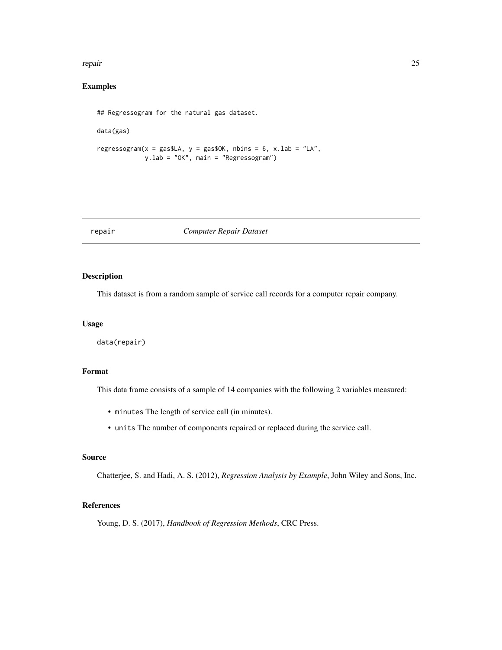#### <span id="page-24-0"></span>repair that the contract of the contract of the contract of the contract of the contract of the contract of the contract of the contract of the contract of the contract of the contract of the contract of the contract of th

# Examples

```
## Regressogram for the natural gas dataset.
data(gas)
regressogram(x = gasSLA, y = gas30K, nbins = 6, x.lab = "LA",y.lab = "OK", main = "Regressogram")
```
# repair *Computer Repair Dataset*

# Description

This dataset is from a random sample of service call records for a computer repair company.

#### Usage

data(repair)

# Format

This data frame consists of a sample of 14 companies with the following 2 variables measured:

- minutes The length of service call (in minutes).
- units The number of components repaired or replaced during the service call.

# Source

Chatterjee, S. and Hadi, A. S. (2012), *Regression Analysis by Example*, John Wiley and Sons, Inc.

# References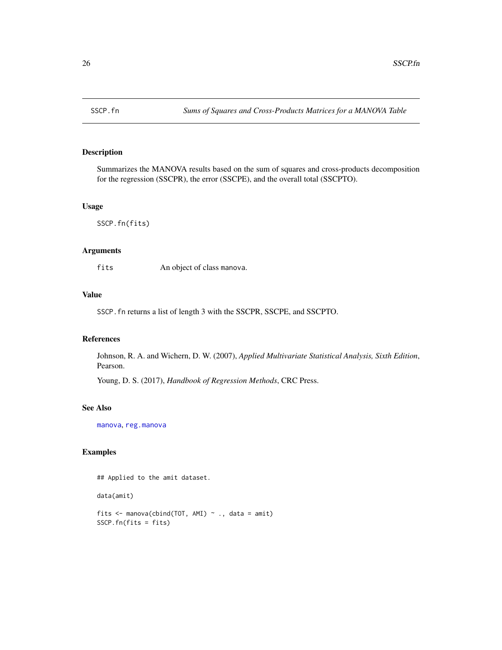<span id="page-25-0"></span>

Summarizes the MANOVA results based on the sum of squares and cross-products decomposition for the regression (SSCPR), the error (SSCPE), and the overall total (SSCPTO).

#### Usage

SSCP.fn(fits)

# Arguments

fits An object of class manova.

# Value

SSCP.fn returns a list of length 3 with the SSCPR, SSCPE, and SSCPTO.

# References

Johnson, R. A. and Wichern, D. W. (2007), *Applied Multivariate Statistical Analysis, Sixth Edition*, Pearson.

Young, D. S. (2017), *Handbook of Regression Methods*, CRC Press.

#### See Also

[manova](#page-0-0), [reg.manova](#page-22-1)

# Examples

## Applied to the amit dataset.

data(amit)

fits  $\leq$  manova(cbind(TOT, AMI)  $\sim$  ., data = amit) SSCP.fn(fits = fits)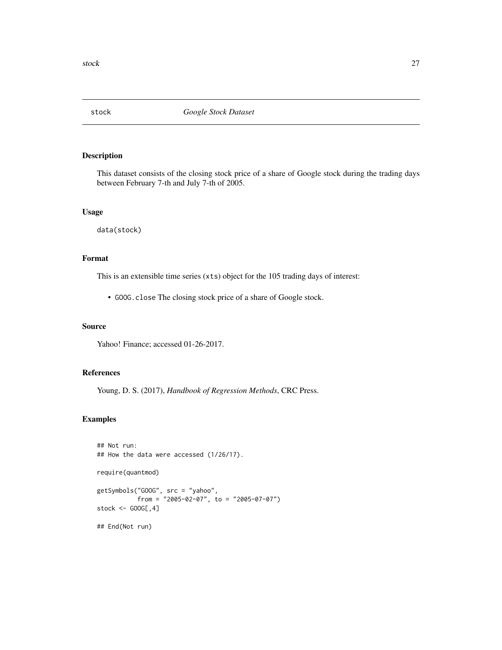<span id="page-26-0"></span>

This dataset consists of the closing stock price of a share of Google stock during the trading days between February 7-th and July 7-th of 2005.

# Usage

data(stock)

# Format

This is an extensible time series (xts) object for the 105 trading days of interest:

• GOOG.close The closing stock price of a share of Google stock.

# Source

Yahoo! Finance; accessed 01-26-2017.

#### References

Young, D. S. (2017), *Handbook of Regression Methods*, CRC Press.

# Examples

```
## Not run:
## How the data were accessed (1/26/17).
require(quantmod)
getSymbols("GOOG", src = "yahoo",
           from = "2005-02-07", to = "2005-07-07")
stock <- GOOG[,4]
## End(Not run)
```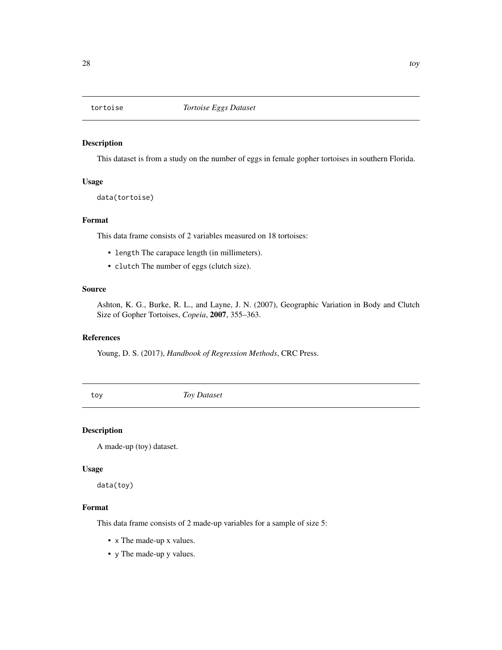<span id="page-27-0"></span>

This dataset is from a study on the number of eggs in female gopher tortoises in southern Florida.

# Usage

data(tortoise)

# Format

This data frame consists of 2 variables measured on 18 tortoises:

- length The carapace length (in millimeters).
- clutch The number of eggs (clutch size).

# Source

Ashton, K. G., Burke, R. L., and Layne, J. N. (2007), Geographic Variation in Body and Clutch Size of Gopher Tortoises, *Copeia*, 2007, 355–363.

# References

Young, D. S. (2017), *Handbook of Regression Methods*, CRC Press.

toy *Toy Dataset*

#### Description

A made-up (toy) dataset.

# Usage

data(toy)

### Format

This data frame consists of 2 made-up variables for a sample of size 5:

- x The made-up x values.
- y The made-up y values.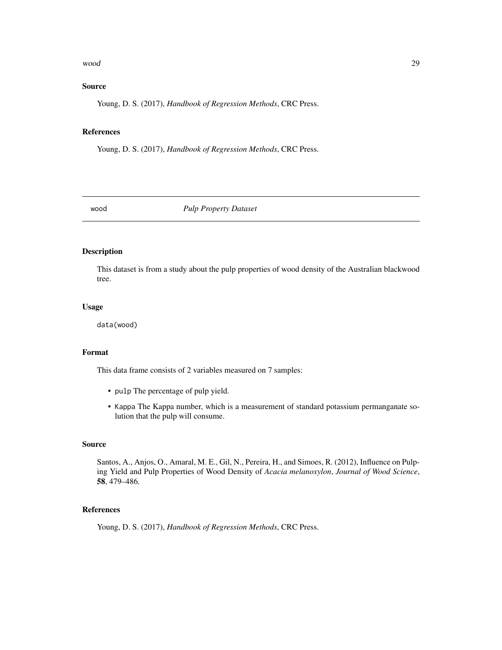#### <span id="page-28-0"></span>wood 29

# Source

Young, D. S. (2017), *Handbook of Regression Methods*, CRC Press.

#### References

Young, D. S. (2017), *Handbook of Regression Methods*, CRC Press.

wood *Pulp Property Dataset*

#### Description

This dataset is from a study about the pulp properties of wood density of the Australian blackwood tree.

# Usage

data(wood)

# Format

This data frame consists of 2 variables measured on 7 samples:

- pulp The percentage of pulp yield.
- Kappa The Kappa number, which is a measurement of standard potassium permanganate solution that the pulp will consume.

#### Source

Santos, A., Anjos, O., Amaral, M. E., Gil, N., Pereira, H., and Simoes, R. (2012), Influence on Pulping Yield and Pulp Properties of Wood Density of *Acacia melanoxylon*, *Journal of Wood Science*, 58, 479–486.

# References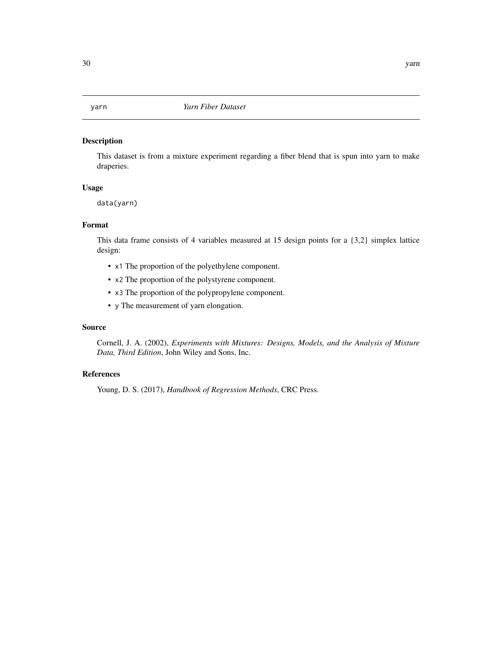<span id="page-29-0"></span>This dataset is from a mixture experiment regarding a fiber blend that is spun into yarn to make draperies.

#### Usage

data(yarn)

# Format

This data frame consists of 4 variables measured at 15 design points for a {3,2} simplex lattice design:

- x1 The proportion of the polyethylene component.
- x2 The proportion of the polystyrene component.
- x3 The proportion of the polypropylene component.
- y The measurement of yarn elongation.

#### Source

Cornell, J. A. (2002), *Experiments with Mixtures: Designs, Models, and the Analysis of Mixture Data, Third Edition*, John Wiley and Sons, Inc.

# References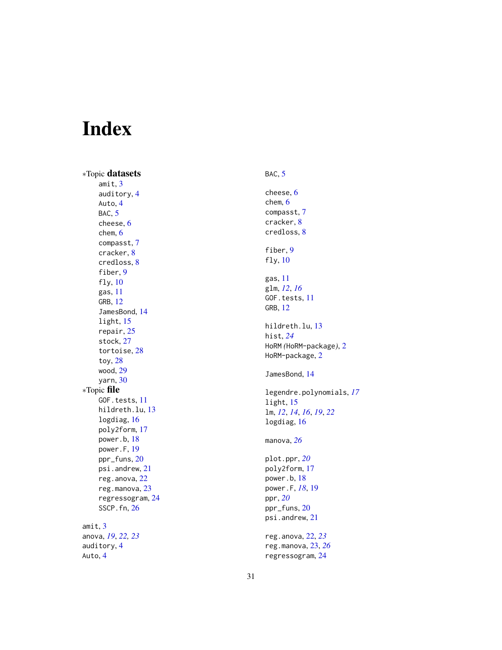# <span id="page-30-0"></span>Index

∗Topic datasets amit , [3](#page-2-0) auditory , [4](#page-3-0) Auto , [4](#page-3-0) BAC, [5](#page-4-0) cheese , [6](#page-5-0) chem , [6](#page-5-0) compasst , [7](#page-6-0) cracker , [8](#page-7-0) credloss , [8](#page-7-0) fiber, [9](#page-8-0) fly , [10](#page-9-0) gas , [11](#page-10-0) GRB , [12](#page-11-0) JamesBond , [14](#page-13-0) light , [15](#page-14-0) repair , [25](#page-24-0) stock , [27](#page-26-0) tortoise , [28](#page-27-0) toy , [28](#page-27-0) wood , [29](#page-28-0) yarn , [30](#page-29-0) ∗Topic file GOF.tests, [11](#page-10-0) hildreth.lu , [13](#page-12-0) logdiag , [16](#page-15-0) poly2form , [17](#page-16-0) power.b , [18](#page-17-0) power.F , [19](#page-18-0) ppr\_funs , [20](#page-19-0) psi.andrew , [21](#page-20-0) reg.anova , [22](#page-21-0) reg.manova , [23](#page-22-0) regressogram , [24](#page-23-0) SSCP.fn , [26](#page-25-0) amit , [3](#page-2-0) anova , *[19](#page-18-0)* , *[22](#page-21-0) , [23](#page-22-0)* auditory , [4](#page-3-0) Auto , [4](#page-3-0)

# BAC, [5](#page-4-0)

```
cheese
,
6
chem
,
6
compasst
,
7
cracker
,
8
credloss
,
8
fiber
,
9
fly
, 10
gas
, 11
glm
, 12
, 16
11
GRB
, 12
hildreth.lu
, 13
hist
, 24
HoRM
(HoRM-package
)
,
2
2
JamesBond
, 14
legendre.polynomials
, 17
15
lm
, 12
, 14
, 16
, 19
, 22
logdiag
, 16
manova
, 26
plot.ppr
, 20
poly2form
, 17
power.b
, 18
power.F
, 18
, 19
ppr
, 20
ppr_funs
, 20
psi.andrew
, 21
reg.anova
, 22
, 23
reg.manova
, 23
, 26
regressogram
, 24
```